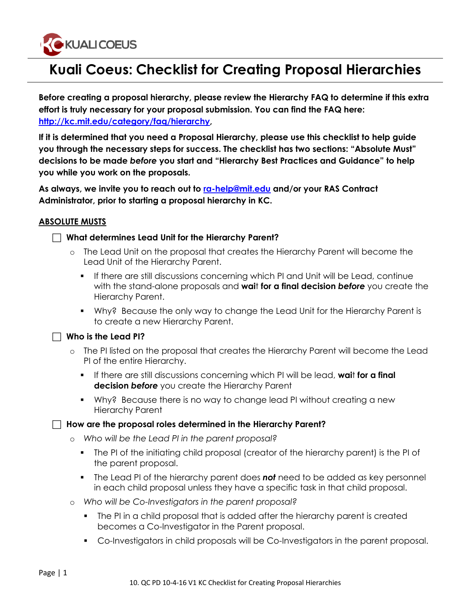

# **Kuali Coeus: Checklist for Creating Proposal Hierarchies**

l

**Before creating a proposal hierarchy, please review the Hierarchy FAQ to determine if this extra effort is truly necessary for your proposal submission. You can find the FAQ here: http://kc.mit.edu/category/faq/hierarchy,** 

**If it is determined that you need a Proposal Hierarchy, please use this checklist to help guide you through the necessary steps for success. The checklist has two sections: "Absolute Must" decisions to be made** *before* **you start and "Hierarchy Best Practices and Guidance" to help you while you work on the proposals.** 

**As always, we invite you to reach out to ra-help@mit.edu and/or your RAS Contract Administrator, prior to starting a proposal hierarchy in KC.**

## **ABSOLUTE MUSTS**

## c **What determines Lead Unit for the Hierarchy Parent?**

- o The Lead Unit on the proposal that creates the Hierarchy Parent will become the Lead Unit of the Hierarchy Parent.
	- If there are still discussions concerning which PI and Unit will be Lead, continue with the stand-alone proposals and **wai**t **for a final decision** *before* you create the Hierarchy Parent.
	- § Why? Because the only way to change the Lead Unit for the Hierarchy Parent is to create a new Hierarchy Parent.

#### $\Box$  Who is the Lead PI?

- o The PI listed on the proposal that creates the Hierarchy Parent will become the Lead PI of the entire Hierarchy.
	- § If there are still discussions concerning which PI will be lead, **wai**t **for a final decision** *before* you create the Hierarchy Parent
	- Why? Because there is no way to change lead PI without creating a new Hierarchy Parent

#### c **How are the proposal roles determined in the Hierarchy Parent?**

- o *Who will be the Lead PI in the parent proposal?*
	- The PI of the initiating child proposal (creator of the hierarchy parent) is the PI of the parent proposal.
	- § The Lead PI of the hierarchy parent does *not* need to be added as key personnel in each child proposal unless they have a specific task in that child proposal.
- o *Who will be Co-Investigators in the parent proposal?*
	- The PI in a child proposal that is added after the hierarchy parent is created becomes a Co-Investigator in the Parent proposal.
	- § Co-Investigators in child proposals will be Co-Investigators in the parent proposal.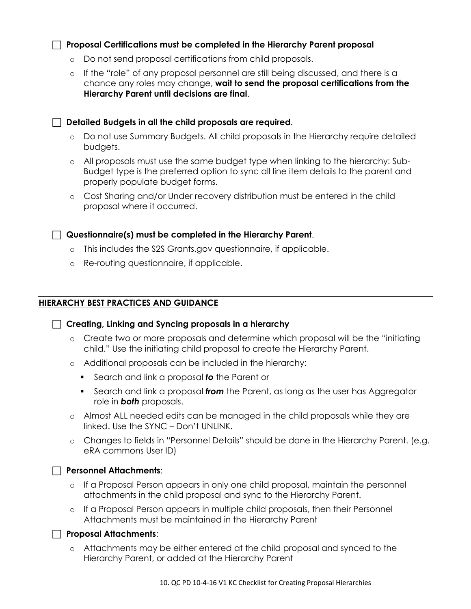## **Proposal Certifications must be completed in the Hierarchy Parent proposal**

- o Do not send proposal certifications from child proposals.
- o If the "role" of any proposal personnel are still being discussed, and there is a chance any roles may change, **wait to send the proposal certifications from the Hierarchy Parent until decisions are final**.

**Pulled Budgets in all the child proposals are required.** 

- o Do not use Summary Budgets. All child proposals in the Hierarchy require detailed budgets.
- o All proposals must use the same budget type when linking to the hierarchy: Sub-Budget type is the preferred option to sync all line item details to the parent and properly populate budget forms.
- o Cost Sharing and/or Under recovery distribution must be entered in the child proposal where it occurred.

## **Questionnaire(s) must be completed in the Hierarchy Parent.**

- o This includes the S2S Grants.gov questionnaire, if applicable.
- o Re-routing questionnaire, if applicable.

## **HIERARCHY BEST PRACTICES AND GUIDANCE**

 $\Box$  Creating, Linking and Syncing proposals in a hierarchy

- o Create two or more proposals and determine which proposal will be the "initiating child." Use the initiating child proposal to create the Hierarchy Parent.
- o Additional proposals can be included in the hierarchy:
	- Search and link a proposal **to** the Parent or
	- Search and link a proposal *from* the Parent, as long as the user has Aggregator role in *both* proposals.
- o Almost ALL needed edits can be managed in the child proposals while they are linked. Use the SYNC – Don't UNLINK.
- o Changes to fields in "Personnel Details" should be done in the Hierarchy Parent. (e.g. eRA commons User ID)

**Personnel Attachments:** 

- o If a Proposal Person appears in only one child proposal, maintain the personnel attachments in the child proposal and sync to the Hierarchy Parent.
- o If a Proposal Person appears in multiple child proposals, then their Personnel Attachments must be maintained in the Hierarchy Parent

#### **Proposal Attachments:**

o Attachments may be either entered at the child proposal and synced to the Hierarchy Parent, or added at the Hierarchy Parent